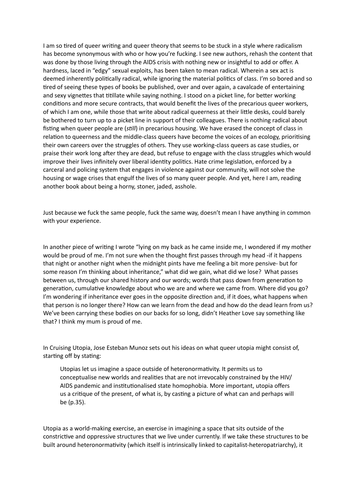I am so tired of queer writing and queer theory that seems to be stuck in a style where radicalism has become synonymous with who or how you're fucking. I see new authors, rehash the content that was done by those living through the AIDS crisis with nothing new or insightful to add or offer. A hardness, laced in "edgy" sexual exploits, has been taken to mean radical. Wherein a sex act is deemed inherently politically radical, while ignoring the material politics of class. I'm so bored and so tired of seeing these types of books be published, over and over again, a cavalcade of entertaining and sexy vignettes that titillate while saying nothing. I stood on a picket line, for better working conditions and more secure contracts, that would benefit the lives of the precarious queer workers, of which I am one, while those that write about radical queerness at their little desks, could barely be bothered to turn up to a picket line in support of their colleagues. There is nothing radical about fisting when queer people are (*still*) in precarious housing. We have erased the concept of class in relation to queerness and the middle-class queers have become the voices of an ecology, prioritising their own careers over the struggles of others. They use working-class queers as case studies, or praise their work long after they are dead, but refuse to engage with the class struggles which would improve their lives infinitely over liberal identity politics. Hate crime legislation, enforced by a carceral and policing system that engages in violence against our community, will not solve the housing or wage crises that engulf the lives of so many queer people. And yet, here I am, reading another book about being a horny, stoner, jaded, asshole.

Just because we fuck the same people, fuck the same way, doesn't mean I have anything in common with your experience.

In another piece of writing I wrote "lying on my back as he came inside me, I wondered if my mother would be proud of me. I'm not sure when the thought first passes through my head -if it happens that night or another night when the midnight pints have me feeling a bit more pensive- but for some reason I'm thinking about inheritance," what did we gain, what did we lose? What passes between us, through our shared history and our words; words that pass down from generation to generation, cumulative knowledge about who we are and where we came from. Where did you go? I'm wondering if inheritance ever goes in the opposite direction and, if it does, what happens when that person is no longer there? How can we learn from the dead and how do the dead learn from us? We've been carrying these bodies on our backs for so long, didn't Heather Love say something like that? I think my mum is proud of me.

In Cruising Utopia, Jose Esteban Munoz sets out his ideas on what queer utopia might consist of, starting off by stating:

Utopias let us imagine a space outside of heteronormativity. It permits us to conceptualise new worlds and realities that are not irrevocably constrained by the HIV/ AIDS pandemic and institutionalised state homophobia. More important, utopia offers us a critique of the present, of what is, by casting a picture of what can and perhaps will be (p.35).

Utopia as a world-making exercise, an exercise in imagining a space that sits outside of the constrictive and oppressive structures that we live under currently. If we take these structures to be built around heteronormativity (which itself is intrinsically linked to capitalist-heteropatriarchy), it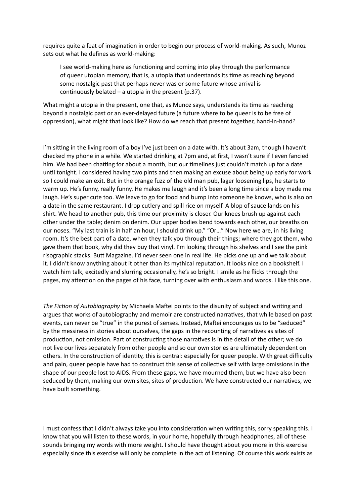requires quite a feat of imagination in order to begin our process of world-making. As such, Munoz sets out what he defines as world-making:

I see world-making here as functioning and coming into play through the performance of queer utopian memory, that is, a utopia that understands its time as reaching beyond some nostalgic past that perhaps never was or some future whose arrival is continuously belated – a utopia in the present  $(p.37)$ .

What might a utopia in the present, one that, as Munoz says, understands its time as reaching beyond a nostalgic past or an ever-delayed future (a future where to be queer is to be free of oppression), what might that look like? How do we reach that present together, hand-in-hand?

I'm sitting in the living room of a boy I've just been on a date with. It's about 3am, though I haven't checked my phone in a while. We started drinking at 7pm and, at first, I wasn't sure if I even fancied him. We had been chatting for about a month, but our timelines just couldn't match up for a date until tonight. I considered having two pints and then making an excuse about being up early for work so I could make an exit. But in the orange fuzz of the old man pub, lager loosening lips, he starts to warm up. He's funny, really funny. He makes me laugh and it's been a long time since a boy made me laugh. He's super cute too. We leave to go for food and bump into someone he knows, who is also on a date in the same restaurant. I drop cutlery and spill rice on myself. A blop of sauce lands on his shirt. We head to another pub, this time our proximity is closer. Our knees brush up against each other under the table; denim on denim. Our upper bodies bend towards each other, our breaths on our noses. "My last train is in half an hour, I should drink up." "Or…" Now here we are, in his living room. It's the best part of a date, when they talk you through their things; where they got them, who gave them that book, why did they buy that vinyl. I'm looking through his shelves and I see the pink risographic stacks. Butt Magazine. I'd never seen one in real life. He picks one up and we talk about it. I didn't know anything about it other than its mythical reputation. It looks nice on a bookshelf. I watch him talk, excitedly and slurring occasionally, he's so bright. I smile as he flicks through the pages, my attention on the pages of his face, turning over with enthusiasm and words. I like this one.

*The Fiction of Autobiography* by Michaela Maftei points to the disunity of subject and writing and argues that works of autobiography and memoir are constructed narratives, that while based on past events, can never be "true" in the purest of senses. Instead, Maftei encourages us to be "seduced" by the messiness in stories about ourselves, the gaps in the recounting of narratives as sites of production, not omission. Part of constructing those narratives is in the detail of the other; we do not live our lives separately from other people and so our own stories are ultimately dependent on others. In the construction of identity, this is central: especially for queer people. With great difficulty and pain, queer people have had to construct this sense of collective self with large omissions in the shape of our people lost to AIDS. From these gaps, we have mourned them, but we have also been seduced by them, making our own sites, sites of production. We have constructed our narratives, we have built something.

I must confess that I didn't always take you into consideration when writing this, sorry speaking this. I know that you will listen to these words, in your home, hopefully through headphones, all of these sounds bringing my words with more weight. I should have thought about you more in this exercise especially since this exercise will only be complete in the act of listening. Of course this work exists as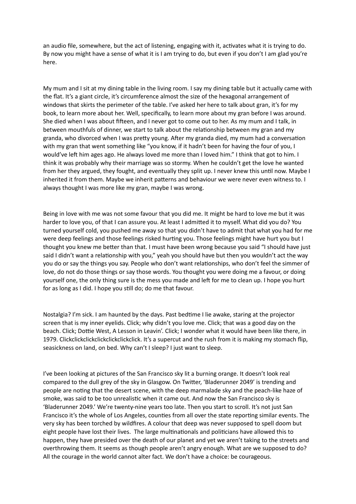an audio file, somewhere, but the act of listening, engaging with it, activates what it is trying to do. By now you might have a sense of what it is I am trying to do, but even if you don't I am glad you're here.

My mum and I sit at my dining table in the living room. I say my dining table but it actually came with the flat. It's a giant circle, it's circumference almost the size of the hexagonal arrangement of windows that skirts the perimeter of the table. I've asked her here to talk about gran, it's for my book, to learn more about her. Well, specifically, to learn more about my gran before I was around. She died when I was about fifteen, and I never got to come out to her. As my mum and I talk, in between mouthfuls of dinner, we start to talk about the relationship between my gran and my granda, who divorced when I was pretty young. After my granda died, my mum had a conversation with my gran that went something like "you know, if it hadn't been for having the four of you, I would've left him ages ago. He always loved me more than I loved him." I think that got to him. I think it was probably why their marriage was so stormy. When he couldn't get the love he wanted from her they argued, they fought, and eventually they split up. I never knew this until now. Maybe I inherited it from them. Maybe we inherit patterns and behaviour we were never even witness to. I always thought I was more like my gran, maybe I was wrong.

Being in love with me was not some favour that you did me. It might be hard to love me but it was harder to love you, of that I can assure you. At least I admitted it to myself. What did you do? You turned yourself cold, you pushed me away so that you didn't have to admit that what you had for me were deep feelings and those feelings risked hurting you. Those feelings might have hurt you but I thought you knew me better than that. I must have been wrong because you said "I should have just said I didn't want a relationship with you," yeah you should have but then you wouldn't act the way you do or say the things you say. People who don't want relationships, who don't feel the simmer of love, do not do those things or say those words. You thought you were doing me a favour, or doing yourself one, the only thing sure is the mess you made and left for me to clean up. I hope you hurt for as long as I did. I hope you still do; do me that favour.

Nostalgia? I'm sick. I am haunted by the days. Past bedtime I lie awake, staring at the projector screen that is my inner eyelids. Click; why didn't you love me. Click; that was a good day on the beach. Click; Dottie West, A Lesson in Leavin'. Click; I wonder what it would have been like there, in 1979. Clickclickclickclickclickclickclick. It's a supercut and the rush from it is making my stomach flip, seasickness on land, on bed. Why can't I sleep? I just want to sleep.

I've been looking at pictures of the San Francisco sky lit a burning orange. It doesn't look real compared to the dull grey of the sky in Glasgow. On Twitter, 'Bladerunner 2049' is trending and people are noting that the desert scene, with the deep marmalade sky and the peach-like haze of smoke, was said to be too unrealistic when it came out. And now the San Francisco sky is 'Bladerunner 2049.' We're twenty-nine years too late. Then you start to scroll. It's not just San Francisco it's the whole of Los Angeles, counties from all over the state reporting similar events. The very sky has been torched by wildfires. A colour that deep was never supposed to spell doom but eight people have lost their lives. The large multinationals and politicians have allowed this to happen, they have presided over the death of our planet and yet we aren't taking to the streets and overthrowing them. It seems as though people aren't angry enough. What are we supposed to do? All the courage in the world cannot alter fact. We don't have a choice: be courageous.